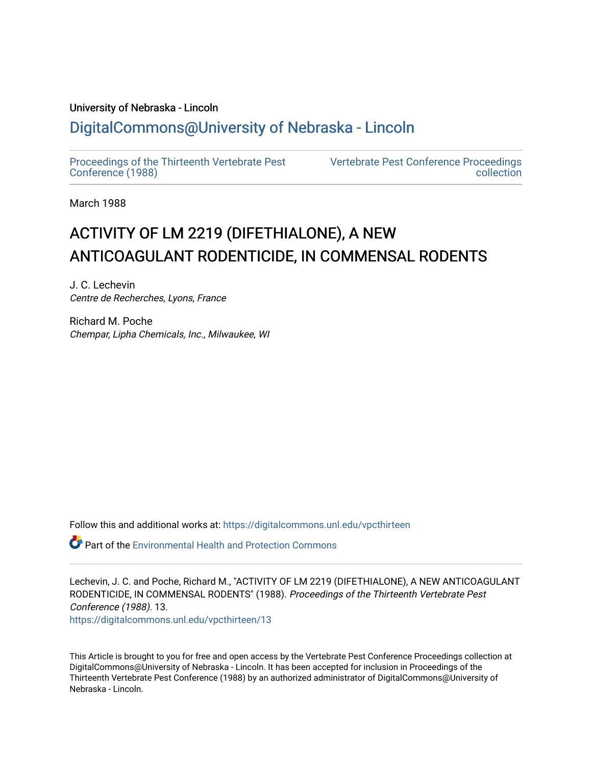## University of Nebraska - Lincoln [DigitalCommons@University of Nebraska - Lincoln](https://digitalcommons.unl.edu/)

[Proceedings of the Thirteenth Vertebrate Pest](https://digitalcommons.unl.edu/vpcthirteen)  [Conference \(1988\)](https://digitalcommons.unl.edu/vpcthirteen)

[Vertebrate Pest Conference Proceedings](https://digitalcommons.unl.edu/vpccollection)  [collection](https://digitalcommons.unl.edu/vpccollection) 

March 1988

# ACTIVITY OF LM 2219 (DIFETHIALONE), A NEW ANTICOAGULANT RODENTICIDE, IN COMMENSAL RODENTS

J. C. Lechevin Centre de Recherches, Lyons, France

Richard M. Poche Chempar, Lipha Chemicals, Inc., Milwaukee, WI

Follow this and additional works at: [https://digitalcommons.unl.edu/vpcthirteen](https://digitalcommons.unl.edu/vpcthirteen?utm_source=digitalcommons.unl.edu%2Fvpcthirteen%2F13&utm_medium=PDF&utm_campaign=PDFCoverPages) 

 $\bullet$  Part of the Environmental Health and Protection Commons

Lechevin, J. C. and Poche, Richard M., "ACTIVITY OF LM 2219 (DIFETHIALONE), A NEW ANTICOAGULANT RODENTICIDE, IN COMMENSAL RODENTS" (1988). Proceedings of the Thirteenth Vertebrate Pest Conference (1988). 13. [https://digitalcommons.unl.edu/vpcthirteen/13](https://digitalcommons.unl.edu/vpcthirteen/13?utm_source=digitalcommons.unl.edu%2Fvpcthirteen%2F13&utm_medium=PDF&utm_campaign=PDFCoverPages) 

This Article is brought to you for free and open access by the Vertebrate Pest Conference Proceedings collection at DigitalCommons@University of Nebraska - Lincoln. It has been accepted for inclusion in Proceedings of the Thirteenth Vertebrate Pest Conference (1988) by an authorized administrator of DigitalCommons@University of Nebraska - Lincoln.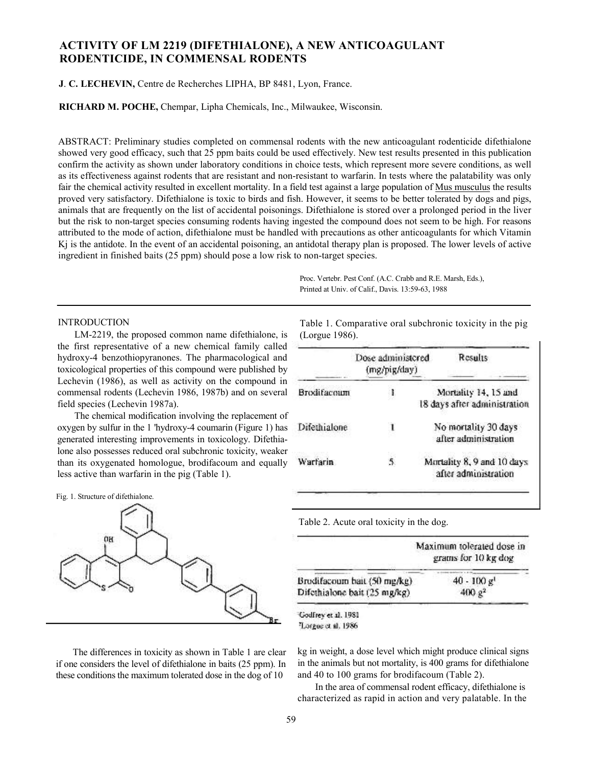### **ACTIVITY OF LM 2219 (DIFETHIALONE), A NEW ANTICOAGULANT RODENTICIDE, IN COMMENSAL RODENTS**

#### **J**. **C. LECHEVIN,** Centre de Recherches LIPHA, BP 8481, Lyon, France.

**RICHARD M. POCHE,** Chempar, Lipha Chemicals, Inc., Milwaukee, Wisconsin.

ABSTRACT: Preliminary studies completed on commensal rodents with the new anticoagulant rodenticide difethialone showed very good efficacy, such that 25 ppm baits could be used effectively. New test results presented in this publication confirm the activity as shown under laboratory conditions in choice tests, which represent more severe conditions, as well as its effectiveness against rodents that are resistant and non-resistant to warfarin. In tests where the palatability was only fair the chemical activity resulted in excellent mortality. In a field test against a large population of <u>Mus musculus</u> the results proved very satisfactory. Difethialone is toxic to birds and fish. However, it seems to be better tolerated by dogs and pigs, animals that are frequently on the list of accidental poisonings. Difethialone is stored over a prolonged period in the liver but the risk to non-target species consuming rodents having ingested the compound does not seem to be high. For reasons attributed to the mode of action, difethialone must be handled with precautions as other anticoagulants for which Vitamin Kj is the antidote. In the event of an accidental poisoning, an antidotal therapy plan is proposed. The lower levels of active ingredient in finished baits (25 ppm) should pose a low risk to non-target species.

> Proc. Vertebr. Pest Conf. (A.C. Crabb and R.E. Marsh, Eds.), Printed at Univ. of Calif., Davis. 13:59-63, 1988

#### INTRODUCTION

LM-2219, the proposed common name difethialone, is the first representative of a new chemical family called hydroxy-4 benzothiopyranones. The pharmacological and toxicological properties of this compound were published by Lechevin (1986), as well as activity on the compound in commensal rodents (Lechevin 1986, 1987b) and on several field species (Lechevin 1987a).

The chemical modification involving the replacement of oxygen by sulfur in the 1 'hydroxy-4 coumarin (Figure 1) has generated interesting improvements in toxicology. Difethialone also possesses reduced oral subchronic toxicity, weaker than its oxygenated homologue, brodifacoum and equally less active than warfarin in the pig (Table 1).





The differences in toxicity as shown in Table 1 are clear if one considers the level of difethialone in baits (25 ppm). In these conditions the maximum tolerated dose in the dog of 10

Table 1. Comparative oral subchronic toxicity in the pig (Lorgue 1986).

|                     | Dose administered<br>(mg/pig/day) | Results                                              |
|---------------------|-----------------------------------|------------------------------------------------------|
| <b>Broxlifacoum</b> | I                                 | Mortality 14, 15 and<br>18 days after administration |
| Difethialone        |                                   | No mortality 30 days<br>after administration         |
| Warfarin            |                                   | Mortality 8, 9 and 10 days<br>after administration   |

Table 2. Acute oral toxicity in the dog.

|                              | Maximum tolerated dose in<br>grams for 10 kg dog |  |  |
|------------------------------|--------------------------------------------------|--|--|
| Brodifacoum bait (50 mg/kg)  | $40 - 100$ g <sup>1</sup>                        |  |  |
| Difethialone bait (25 mg/kg) | 400 g <sup>2</sup>                               |  |  |

Godfrey et al. 1981 Lorgoe et al. 1986

kg in weight, a dose level which might produce clinical signs in the animals but not mortality, is 400 grams for difethialone and 40 to 100 grams for brodifacoum (Table 2).

In the area of commensal rodent efficacy, difethialone is characterized as rapid in action and very palatable. In the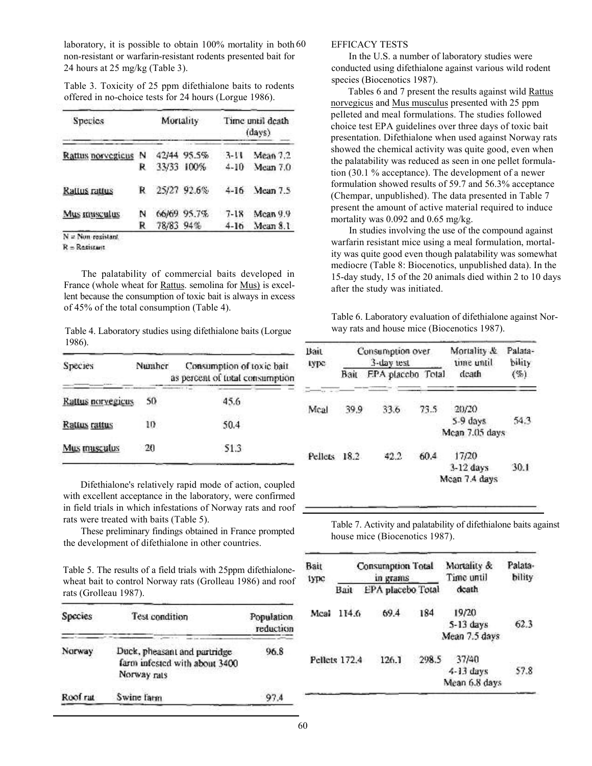laboratory, it is possible to obtain 100% mortality in both 60 non-resistant or warfarin-resistant rodents presented bait for 24 hours at 25 mg/kg (Table 3).

Table 3. Toxicity of 25 ppm difethialone baits to rodents offered in no-choice tests for 24 hours (Lorgue 1986).

| Species             |   | Mortality |             | Time until death<br>(davs) |          |
|---------------------|---|-----------|-------------|----------------------------|----------|
| Rattus norvegicus   | N |           | 42/44 95.5% | 3-11                       | Mean 7.2 |
|                     | R |           | 33/33 100%  | $4 - 10$                   | Mean 7.0 |
| Rattus rattus       | R |           | 25/27 92.6% | $4 - 16$                   | Mean 7.5 |
| Mus musculus        | N |           | 66/69 95.7% | $7 - 18$                   | Mean 9.9 |
|                     | R | 78/83 94% |             | $4 - 16$                   | Mean 8.1 |
| $N = Nom-resistant$ |   |           |             |                            |          |

 $R = Restistart$ 

The palatability of commercial baits developed in France (whole wheat for <u>Rattus</u>. semolina for <u>Mus</u>) is excellent because the consumption of toxic bait is always in excess of 45% of the total consumption (Table 4).

Table 4. Laboratory studies using difethialone baits (Lorgue 1986).

| <b>Species</b>    | Numher | Consumption of toxic bait<br>as percent of total consumption |
|-------------------|--------|--------------------------------------------------------------|
| Rattus norvegicus | 50     | 45.6                                                         |
| Rattus rattus     | 10     | 50.4                                                         |
| Mus musculus      | 20     | 51.3                                                         |

Difethialone's relatively rapid mode of action, coupled with excellent acceptance in the laboratory, were confirmed in field trials in which infestations of Norway rats and roof rats were treated with baits (Table 5).

These preliminary findings obtained in France prompted the development of difethialone in other countries.

Table 5. The results of a field trials with 25ppm difethialonewheat bait to control Norway rats (Grolleau 1986) and roof rats (Grolleau 1987).

| Species  | Test condition                                                               | Population.<br>reduction |
|----------|------------------------------------------------------------------------------|--------------------------|
| Norway   | Duck, pheasant and partridge<br>farm infested with about 3400<br>Norway rats | 96.8                     |
| Roof rat | Swine farm                                                                   | 97.4                     |

#### EFFICACY TESTS

In the U.S. a number of laboratory studies were conducted using difethialone against various wild rodent species (Biocenotics 1987).

Tables 6 and 7 present the results against wild Rattus norvegicus and Mus musculus presented with 25 ppm pelleted and meal formulations. The studies followed choice test EPA guidelines over three days of toxic bait presentation. Difethialone when used against Norway rats showed the chemical activity was quite good, even when the palatability was reduced as seen in one pellet formulation (30.1 % acceptance). The development of a newer formulation showed results of 59.7 and 56.3% acceptance (Chempar, unpublished). The data presented in Table 7 present the amount of active material required to induce mortality was 0.092 and 0.65 mg/kg.

In studies involving the use of the compound against warfarin resistant mice using a meal formulation, mortality was quite good even though palatability was somewhat mediocre (Table 8: Biocenotics, unpublished data). In the 15-day study, 15 of the 20 animals died within 2 to 10 days after the study was initiated.

Table 6. Laboratory evaluation of difethialone against Norway rats and house mice (Biocenotics 1987).

| Bait<br>гурс | Consumption over<br>3-day test |                   |      | Mortality &<br>time until             | Palata-<br>bility |  |
|--------------|--------------------------------|-------------------|------|---------------------------------------|-------------------|--|
|              | Вай                            | FPA placebo Total |      | death                                 | $(\%)$            |  |
| Meal         | 39.9                           | 33.6              | 73.5 | 20/20<br>5-9 days<br>Mean 7.05 days:  | 54.3              |  |
| Pellets 18.2 |                                | 42.2              | 60.4 | 17/20<br>$3-12$ days<br>Mean 7.4 days | 30.1              |  |

Table 7. Activity and palatability of difethialone baits against house mice (Biocenotics 1987).

| Bait<br>1урс | Consumption Total<br>in grams |                   |       | Mortality &<br>Time until | Palata-<br>bility |
|--------------|-------------------------------|-------------------|-------|---------------------------|-------------------|
|              | Bait                          | EPA placebo Total |       | dcath                     |                   |
| Mcal         | 114.6                         | 69.4              | 184   | 19/20                     |                   |
|              |                               |                   |       | 5-13 days                 | 62.3              |
|              |                               |                   |       | Mean 7.5 days             |                   |
|              | Pellets 172.4                 | 126.1             | 298.5 | 37/40                     |                   |
|              |                               |                   |       | $4 - 13$ days             | 57.8              |
|              |                               |                   |       | Mean 6.8 days             |                   |
|              |                               |                   |       |                           |                   |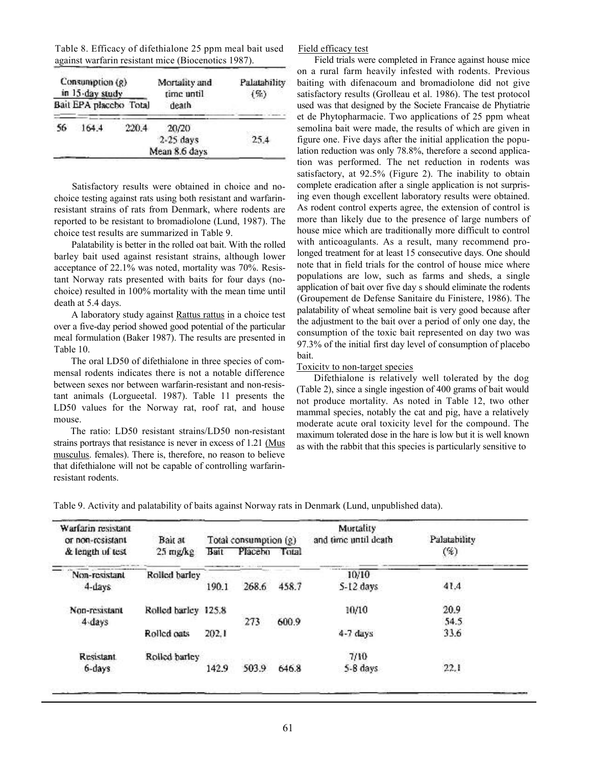| Table 8. Efficacy of difethialone 25 ppm meal bait used |
|---------------------------------------------------------|
| against warfarin resistant mice (Biocenotics 1987).     |

| Consumption $(g)$<br>in 15-day study<br>Bait EPA placebo Total |       | Mortality and<br>time until | Palatability<br>$($ %) |      |
|----------------------------------------------------------------|-------|-----------------------------|------------------------|------|
|                                                                |       |                             | death                  |      |
| 56                                                             | 164.4 | 220.4                       | 20/20                  |      |
|                                                                |       |                             | $2-25$ days            | 25.4 |
|                                                                |       |                             | Mean 8.6 days          |      |

Satisfactory results were obtained in choice and nochoice testing against rats using both resistant and warfarinresistant strains of rats from Denmark, where rodents are reported to be resistant to bromadiolone (Lund, 1987). The choice test results are summarized in Table 9.

Palatability is better in the rolled oat bait. With the rolled barley bait used against resistant strains, although lower acceptance of 22.1% was noted, mortality was 70%. Resistant Norway rats presented with baits for four days (nochoice) resulted in 100% mortality with the mean time until death at 5.4 days.

A laboratory study against Rattus rattus in a choice test over a five-day period showed good potential of the particular meal formulation (Baker 1987). The results are presented in Table 10.

The oral LD50 of difethialone in three species of commensal rodents indicates there is not a notable difference between sexes nor between warfarin-resistant and non-resistant animals (Lorgueetal. 1987). Table 11 presents the LD50 values for the Norway rat, roof rat, and house mouse.

The ratio: LD50 resistant strains/LD50 non-resistant strains portrays that resistance is never in excess of 1.21 (Mus musculus. females). There is, therefore, no reason to believe that difethialone will not be capable of controlling warfarinresistant rodents.

Field efficacy test

Field trials were completed in France against house mice on a rural farm heavily infested with rodents. Previous baiting with difenacoum and bromadiolone did not give satisfactory results (Grolleau et al. 1986). The test protocol used was that designed by the Societe Francaise de Phytiatrie et de Phytopharmacie. Two applications of 25 ppm wheat semolina bait were made, the results of which are given in figure one. Five days after the initial application the population reduction was only 78.8%, therefore a second application was performed. The net reduction in rodents was satisfactory, at 92.5% (Figure 2). The inability to obtain complete eradication after a single application is not surprising even though excellent laboratory results were obtained. As rodent control experts agree, the extension of control is more than likely due to the presence of large numbers of house mice which are traditionally more difficult to control with anticoagulants. As a result, many recommend prolonged treatment for at least 15 consecutive days. One should note that in field trials for the control of house mice where populations are low, such as farms and sheds, a single application of bait over five day s should eliminate the rodents (Groupement de Defense Sanitaire du Finistere, 1986). The palatability of wheat semoline bait is very good because after the adjustment to the bait over a period of only one day, the consumption of the toxic bait represented on day two was 97.3% of the initial first day level of consumption of placebo bait.

#### Toxicitv to non-target species

Difethialone is relatively well tolerated by the dog (Table 2), since a single ingestion of 400 grams of bait would not produce mortality. As noted in Table 12, two other mammal species, notably the cat and pig, have a relatively moderate acute oral toxicity level for the compound. The maximum tolerated dose in the hare is low but it is well known as with the rabbit that this species is particularly sensitive to

Warfarin resistant Mortality or non-resistant and time until death Palatability Bait at Total consumption (g) & length of test 25 mg/kg Bait Placebo Total (%) Non-resistant  $10/10$ Rolled barley 268.6 41.4 4-days 190.1 458.7 S-12 days 20.9 Non-resistant Rolled barley 125.8 10/10 54.5 4-days 273 600.9 33.6 Rolled oats 202.1 4-7 days 7/10 Resistant Rolled barley  $22.1$ 6-days 142.9 503.9 646.8 5-8 days

Table 9. Activity and palatability of baits against Norway rats in Denmark (Lund, unpublished data).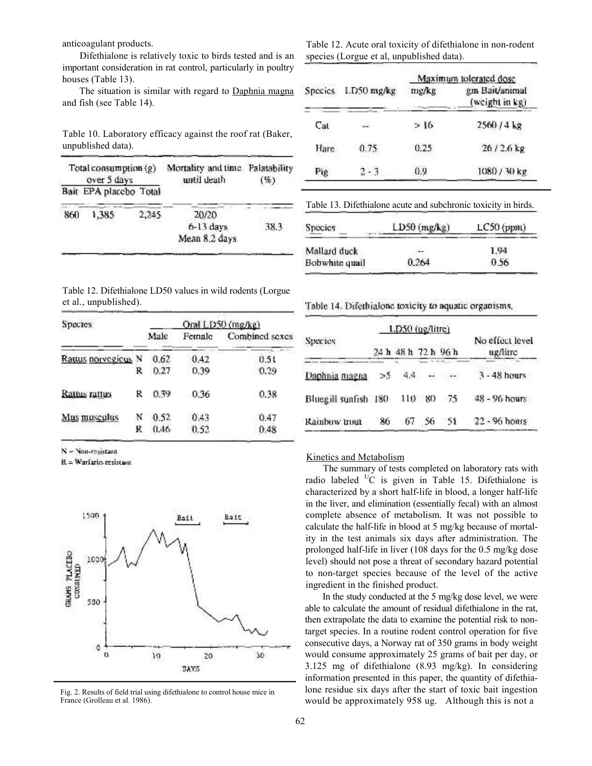anticoagulant products.

Difethialone is relatively toxic to birds tested and is an important consideration in rat control, particularly in poultry houses (Table 13).

The situation is similar with regard to Daphnia magna and fish (see Table 14).

Table 12. Acute oral toxicity of difethialone in non-rodent species (Lorgue et al, unpublished data).

|              |             |       | Maximum tolerated dose           |
|--------------|-------------|-------|----------------------------------|
| Species      | 1.D50 mg/kg | mg/kg | gm Bait/animal<br>(weight in kg) |
| $_{\rm Cat}$ | --          | >16   | 2560 / 4 kg                      |
| Hare         | 0.75        | 0.25  | $26/2.6$ kg                      |
| Pig          | $2 - 3$     | 0.9   | 1080 / 30 kg                     |

Table 10. Laboratory efficacy against the roof rat (Baker, unpublished data).

| Total consumption $(g)$<br>over 5 days |                        | Mortality and time Palatability<br>until death | $($ %)        |  |      |
|----------------------------------------|------------------------|------------------------------------------------|---------------|--|------|
|                                        | Bait EPA placebo Total |                                                |               |  |      |
| 860                                    | 1,385                  | 2,245                                          | 20/20         |  |      |
|                                        |                        |                                                | $6-13$ days   |  | 38.3 |
|                                        |                        |                                                | Mean 8.2 days |  |      |

| Table 13. Difethialone acute and subchronic toxicity in birds. |  |  |
|----------------------------------------------------------------|--|--|
|                                                                |  |  |

| Species        | $LD50$ (mg/kg) | $LC50$ (ppm) |  |
|----------------|----------------|--------------|--|
| Mallard duck   |                | 1.94         |  |
| Bobwhite quail | 0.264          | 0.56         |  |

| Table 12. Difethialone LD50 values in wild rodents (Lorgue |  |  |
|------------------------------------------------------------|--|--|
| et al., unpublished).                                      |  |  |

| Species             |   | Oral LD50 (mg/kg) |        |                |  |  |  |
|---------------------|---|-------------------|--------|----------------|--|--|--|
|                     |   | Male              | Female | Combined sexes |  |  |  |
| Rattus norvegicus N |   | 0.62              | 0.42   | 0.51           |  |  |  |
|                     | R | 0.27              | 0.39   | 0.29           |  |  |  |
| Rattus rattus       | R | 0.39              | 0.36   | 0.38           |  |  |  |
| Mus musculus        |   | 0.52              | 0.43   | 0.47           |  |  |  |
|                     | ĸ | 0.46              | 0.52   | 0.48           |  |  |  |

N = Non-resistant

R = Warfario-resistent



Fig. 2. Results of field trial using difethialone to control house mice in France (Grolleau et al. 1986).

Table 14. Difethialone toxicity to aquatic organisms,

|                             |    | LD50 (ug/litre)     |    |               |                             |  |
|-----------------------------|----|---------------------|----|---------------|-----------------------------|--|
| Species                     |    | 24 h 48 h 72 h 96 h |    |               | No effect level<br>ug/litre |  |
| Daphnia magna               | >5 | $-4.4$              |    | $\mathcal{L}$ | 3 - 48 hours                |  |
| Bluegill sunfish 180 110 80 |    |                     |    | - 75          | 48 - 96 hours               |  |
| Rainbuw trout               | 86 | 67                  | 56 | SF.           | $22 - 96$ hours             |  |

#### Kinetics and Metabolism

The summary of tests completed on laboratory rats with radio labeled  $\mathrm{^{U}C}$  is given in Table 15. Difethialone is characterized by a short half-life in blood, a longer half-life in the liver, and elimination (essentially fecal) with an almost complete absence of metabolism. It was not possible to calculate the half-life in blood at 5 mg/kg because of mortality in the test animals six days after administration. The prolonged half-life in liver (108 days for the 0.5 mg/kg dose level) should not pose a threat of secondary hazard potential to non-target species because of the level of the active ingredient in the finished product.

In the study conducted at the 5 mg/kg dose level, we were able to calculate the amount of residual difethialone in the rat, then extrapolate the data to examine the potential risk to nontarget species. In a routine rodent control operation for five consecutive days, a Norway rat of 350 grams in body weight would consume approximately 25 grams of bait per day, or 3.125 mg of difethialone (8.93 mg/kg). In considering information presented in this paper, the quantity of difethialone residue six days after the start of toxic bait ingestion would be approximately 958 ug. Although this is not a